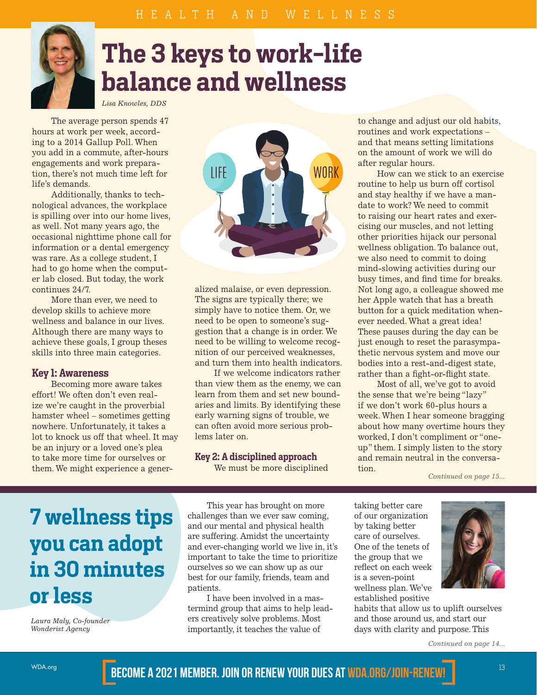

# **The 3 keys to work-life balance and wellness**

*Lisa Knowles, DDS*

The average person spends 47 hours at work per week, according to a 2014 Gallup Poll. When you add in a commute, after-hours engagements and work preparation, there's not much time left for life's demands.

Additionally, thanks to technological advances, the workplace is spilling over into our home lives, as well. Not many years ago, the occasional nighttime phone call for information or a dental emergency was rare. As a college student, I had to go home when the computer lab closed. But today, the work continues 24/7.

More than ever, we need to develop skills to achieve more wellness and balance in our lives. Although there are many ways to achieve these goals, I group theses skills into three main categories.

### **Key 1: Awareness**

Becoming more aware takes effort! We often don't even realize we're caught in the proverbial hamster wheel – sometimes getting nowhere. Unfortunately, it takes a lot to knock us off that wheel. It may be an injury or a loved one's plea to take more time for ourselves or them. We might experience a gener-



alized malaise, or even depression. The signs are typically there; we simply have to notice them. Or, we need to be open to someone's suggestion that a change is in order. We need to be willing to welcome recognition of our perceived weaknesses, and turn them into health indicators.

If we welcome indicators rather than view them as the enemy, we can learn from them and set new boundaries and limits. By identifying these early warning signs of trouble, we can often avoid more serious problems later on.

## **Key 2: A disciplined approach**

We must be more disciplined

to change and adjust our old habits, routines and work expectations – and that means setting limitations on the amount of work we will do after regular hours.

How can we stick to an exercise routine to help us burn off cortisol and stay healthy if we have a mandate to work? We need to commit to raising our heart rates and exercising our muscles, and not letting other priorities hijack our personal wellness obligation. To balance out, we also need to commit to doing mind-slowing activities during our busy times, and find time for breaks. Not long ago, a colleague showed me her Apple watch that has a breath button for a quick meditation whenever needed. What a great idea! These pauses during the day can be just enough to reset the parasympathetic nervous system and move our bodies into a rest-and-digest state, rather than a fight-or-flight state.

Most of all, we've got to avoid the sense that we're being "lazy" if we don't work 60-plus hours a week. When I hear someone bragging about how many overtime hours they worked, I don't compliment or "oneup" them. I simply listen to the story and remain neutral in the conversation.

*Continued on page 15...*

# **7 wellness tips you can adopt in 30 minutes or less**

*Laura Maly, Co-founder Wonderist Agency*

This year has brought on more challenges than we ever saw coming, and our mental and physical health are suffering. Amidst the uncertainty and ever-changing world we live in, it's important to take the time to prioritize ourselves so we can show up as our best for our family, friends, team and patients.

I have been involved in a mastermind group that aims to help leaders creatively solve problems. Most importantly, it teaches the value of

taking better care of our organization by taking better care of ourselves. One of the tenets of the group that we reflect on each week is a seven-point wellness plan. We've established positive

habits that allow us to uplift ourselves and those around us, and start our days with clarity and purpose. This

*Continued on page 14...*